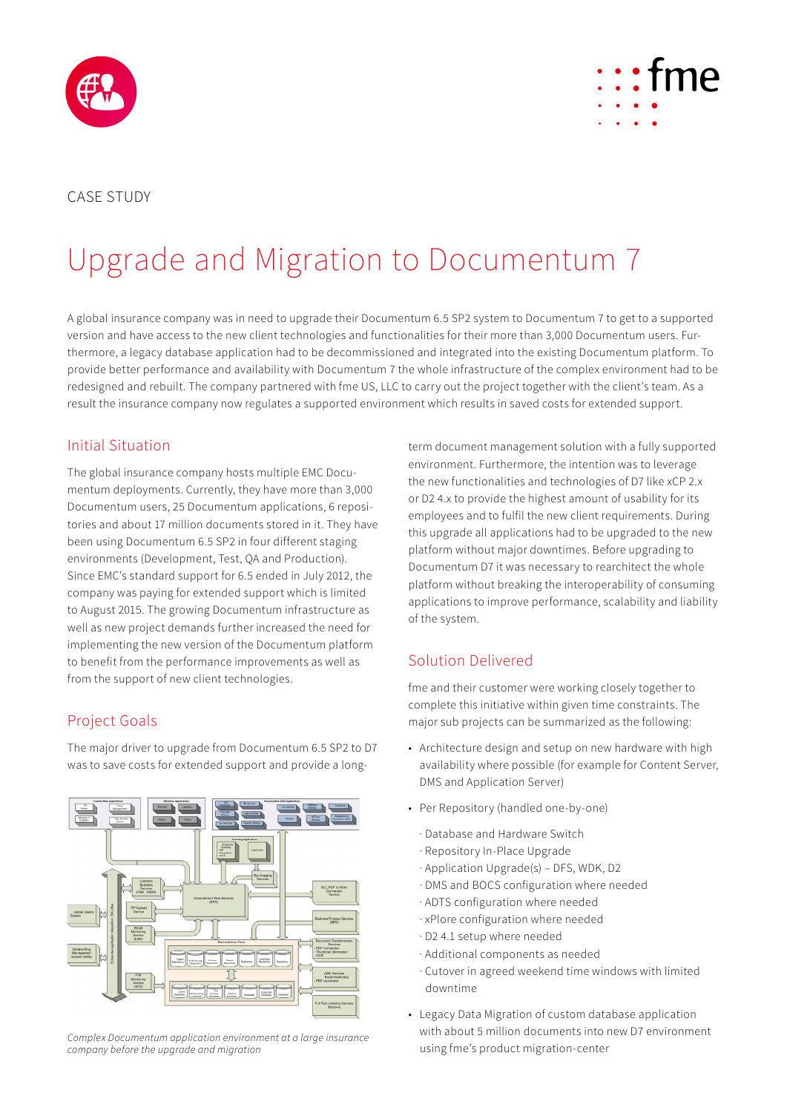



# Upgrade and Migration to Documentum 7

A global insurance company was in need to upgrade their Documentum 6.5 SP2 system to Documentum 7 to get to a supported version and have access to the new client technologies and functionalities for their more than 3,000 Documentum users. Furthermore, a legacy database application had to be decommissioned and integrated into the existing Documentum platform. To provide better performance and availability with Documentum 7 the whole infrastructure of the complex environment had to be redesigned and rebuilt. The company partnered with fme US, LLC to carry out the project together with the client's team. As a result the insurance company now regulates a supported environment which results in saved costs for extended support.

#### Initial Situation

The global insurance company hosts multiple EMC Documentum deployments. Currently, they have more than 3,000 Documentum users, 25 Documentum applications, 6 repositories and about 17 million documents stored in it. They have been using Documentum 6.5 SP2 in four different staging environments (Development, Test, QA and Production). Since EMC's standard support for 6.5 ended in July 2012, the company was paying for extended support which is limited to August 2015. The growing Documentum infrastructure as well as new project demands further increased the need for implementing the new version of the Documentum platform to benefit from the performance improvements as well as from the support of new client technologies.

#### Project Goals

The major driver to upgrade from Documentum 6.5 SP2 to D7 was to save costs for extended support and provide a long-



*Complex Documentum application environment at a large insurance company before the upgrade and migration*

term document management solution with a fully supported environment. Furthermore, the intention was to leverage the new functionalities and technologies of D7 like xCP 2.x or D2 4.x to provide the highest amount of usability for its employees and to fulfil the new client requirements. During this upgrade all applications had to be upgraded to the new platform without major downtimes. Before upgrading to Documentum D7 it was necessary to rearchitect the whole platform without breaking the interoperability of consuming applications to improve performance, scalability and liability of the system.

## Solution Delivered

fme and their customer were working closely together to complete this initiative within given time constraints. The major sub projects can be summarized as the following:

- Architecture design and setup on new hardware with high availability where possible (for example for Content Server, DMS and Application Server)
- Per Repository (handled one-by-one)
	- · Database and Hardware Switch
	- · Repository In-Place Upgrade
	- · Application Upgrade(s) DFS, WDK, D2
	- · DMS and BOCS configuration where needed
	- · ADTS configuration where needed
	- · xPlore configuration where needed
	- · D2 4.1 setup where needed
	- · Additional components as needed
	- · Cutover in agreed weekend time windows with limited downtime
- Legacy Data Migration of custom database application with about 5 million documents into new D7 environment using fme's product migration-center